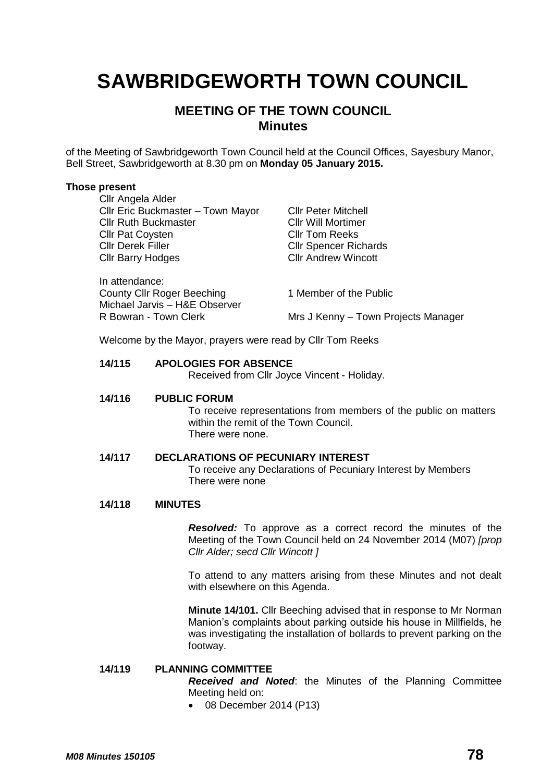# **SAWBRIDGEWORTH TOWN COUNCIL**

# **MEETING OF THE TOWN COUNCIL Minutes**

of the Meeting of Sawbridgeworth Town Council held at the Council Offices, Sayesbury Manor, Bell Street, Sawbridgeworth at 8.30 pm on **Monday 05 January 2015.**

#### **Those present**

| Cllr Angela Alder                 |                                     |
|-----------------------------------|-------------------------------------|
| Cllr Eric Buckmaster - Town Mayor | <b>Cllr Peter Mitchell</b>          |
| <b>Cllr Ruth Buckmaster</b>       | <b>CIIr Will Mortimer</b>           |
| <b>Cllr Pat Coysten</b>           | <b>CIIr Tom Reeks</b>               |
| <b>Cllr Derek Filler</b>          | <b>CIIr Spencer Richards</b>        |
| <b>Cllr Barry Hodges</b>          | <b>CIIr Andrew Wincott</b>          |
| In attendance:                    |                                     |
| <b>County Cllr Roger Beeching</b> | 1 Member of the Public              |
| Michael Jarvis - H&E Observer     |                                     |
| R Bowran - Town Clerk             | Mrs J Kenny - Town Projects Manager |

Welcome by the Mayor, prayers were read by Cllr Tom Reeks

### **14/115 APOLOGIES FOR ABSENCE**

Received from Cllr Joyce Vincent - Holiday.

#### **14/116 PUBLIC FORUM**

To receive representations from members of the public on matters within the remit of the Town Council. There were none.

#### **14/117 DECLARATIONS OF PECUNIARY INTEREST**

To receive any Declarations of Pecuniary Interest by Members There were none

### **14/118 MINUTES**

*Resolved:* To approve as a correct record the minutes of the Meeting of the Town Council held on 24 November 2014 (M07) *[prop Cllr Alder; secd Cllr Wincott ]*

To attend to any matters arising from these Minutes and not dealt with elsewhere on this Agenda.

**Minute 14/101.** Cllr Beeching advised that in response to Mr Norman Manion's complaints about parking outside his house in Millfields, he was investigating the installation of bollards to prevent parking on the footway.

# **14/119 PLANNING COMMITTEE**

*Received and Noted*: the Minutes of the Planning Committee Meeting held on:

08 December 2014 (P13)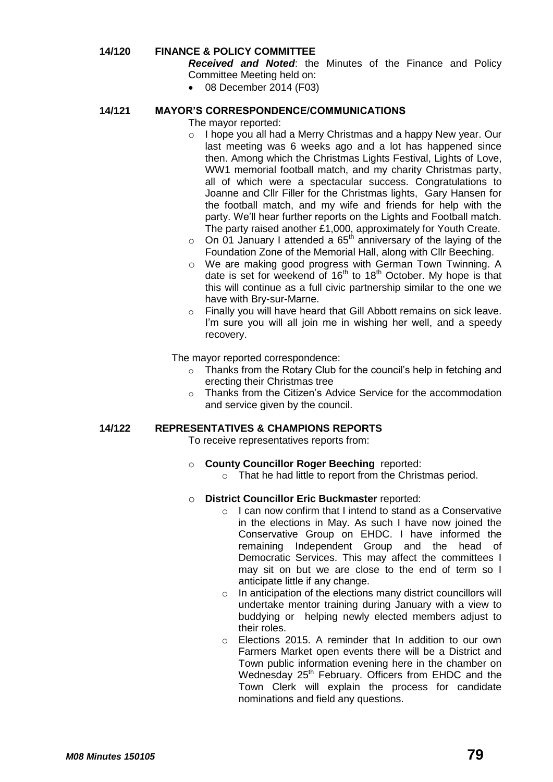# **14/120 FINANCE & POLICY COMMITTEE**

*Received and Noted*: the Minutes of the Finance and Policy Committee Meeting held on:

08 December 2014 (F03)

# **14/121 MAYOR'S CORRESPONDENCE/COMMUNICATIONS**

The mayor reported:

- o I hope you all had a Merry Christmas and a happy New year. Our last meeting was 6 weeks ago and a lot has happened since then. Among which the Christmas Lights Festival, Lights of Love, WW1 memorial football match, and my charity Christmas party, all of which were a spectacular success. Congratulations to Joanne and Cllr Filler for the Christmas lights, Gary Hansen for the football match, and my wife and friends for help with the party. We'll hear further reports on the Lights and Football match. The party raised another £1,000, approximately for Youth Create.
- $\circ$  On 01 January I attended a 65<sup>th</sup> anniversary of the laying of the Foundation Zone of the Memorial Hall, along with Cllr Beeching.
- o We are making good progress with German Town Twinning. A date is set for weekend of  $16<sup>th</sup>$  to  $18<sup>th</sup>$  October. My hope is that this will continue as a full civic partnership similar to the one we have with Bry-sur-Marne.
- o Finally you will have heard that Gill Abbott remains on sick leave. I'm sure you will all join me in wishing her well, and a speedy recovery.

The mayor reported correspondence:

- o Thanks from the Rotary Club for the council's help in fetching and erecting their Christmas tree
- o Thanks from the Citizen's Advice Service for the accommodation and service given by the council.

#### **14/122 REPRESENTATIVES & CHAMPIONS REPORTS**

To receive representatives reports from:

- o **County Councillor Roger Beeching** reported:
	- o That he had little to report from the Christmas period.

#### o **District Councillor Eric Buckmaster** reported:

- o I can now confirm that I intend to stand as a Conservative in the elections in May. As such I have now joined the Conservative Group on EHDC. I have informed the remaining Independent Group and the head of Democratic Services. This may affect the committees I may sit on but we are close to the end of term so I anticipate little if any change.
- o In anticipation of the elections many district councillors will undertake mentor training during January with a view to buddying or helping newly elected members adjust to their roles.
- o Elections 2015. A reminder that In addition to our own Farmers Market open events there will be a District and Town public information evening here in the chamber on Wednesday 25<sup>th</sup> February. Officers from EHDC and the Town Clerk will explain the process for candidate nominations and field any questions.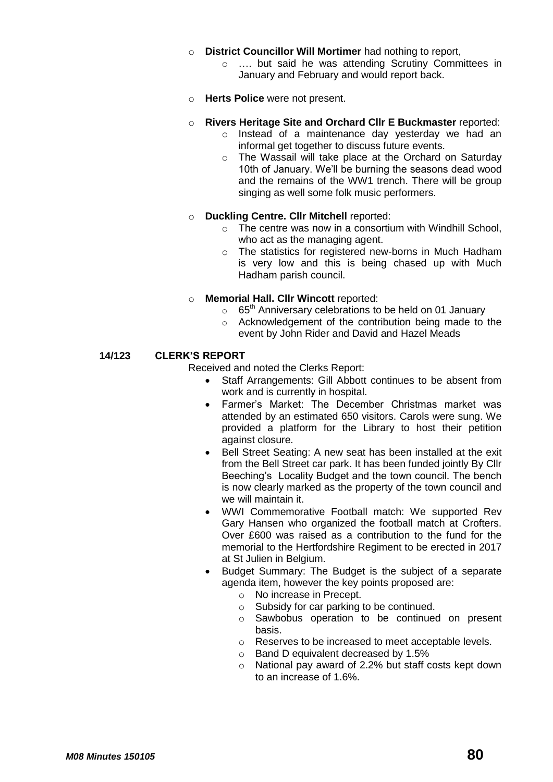- o **District Councillor Will Mortimer** had nothing to report,
	- o …. but said he was attending Scrutiny Committees in January and February and would report back.
- o **Herts Police** were not present.
- o **Rivers Heritage Site and Orchard Cllr E Buckmaster** reported:
	- o Instead of a maintenance day yesterday we had an informal get together to discuss future events.
	- o The Wassail will take place at the Orchard on Saturday 10th of January. We'll be burning the seasons dead wood and the remains of the WW1 trench. There will be group singing as well some folk music performers.
- o **Duckling Centre. Cllr Mitchell** reported:
	- o The centre was now in a consortium with Windhill School, who act as the managing agent.
	- o The statistics for registered new-borns in Much Hadham is very low and this is being chased up with Much Hadham parish council.
- o **Memorial Hall. Cllr Wincott** reported:
	- $\circ$  65<sup>th</sup> Anniversary celebrations to be held on 01 January
	- o Acknowledgement of the contribution being made to the event by John Rider and David and Hazel Meads

### **14/123 CLERK'S REPORT**

Received and noted the Clerks Report:

- Staff Arrangements: Gill Abbott continues to be absent from work and is currently in hospital.
- Farmer's Market: The December Christmas market was attended by an estimated 650 visitors. Carols were sung. We provided a platform for the Library to host their petition against closure.
- Bell Street Seating: A new seat has been installed at the exit from the Bell Street car park. It has been funded jointly By Cllr Beeching's Locality Budget and the town council. The bench is now clearly marked as the property of the town council and we will maintain it.
- WWI Commemorative Football match: We supported Rev Gary Hansen who organized the football match at Crofters. Over £600 was raised as a contribution to the fund for the memorial to the Hertfordshire Regiment to be erected in 2017 at St Julien in Belgium.
- Budget Summary: The Budget is the subject of a separate agenda item, however the key points proposed are:
	- o No increase in Precept.
	- o Subsidy for car parking to be continued.
	- o Sawbobus operation to be continued on present basis.
	- o Reserves to be increased to meet acceptable levels.
	- o Band D equivalent decreased by 1.5%
	- o National pay award of 2.2% but staff costs kept down to an increase of 1.6%.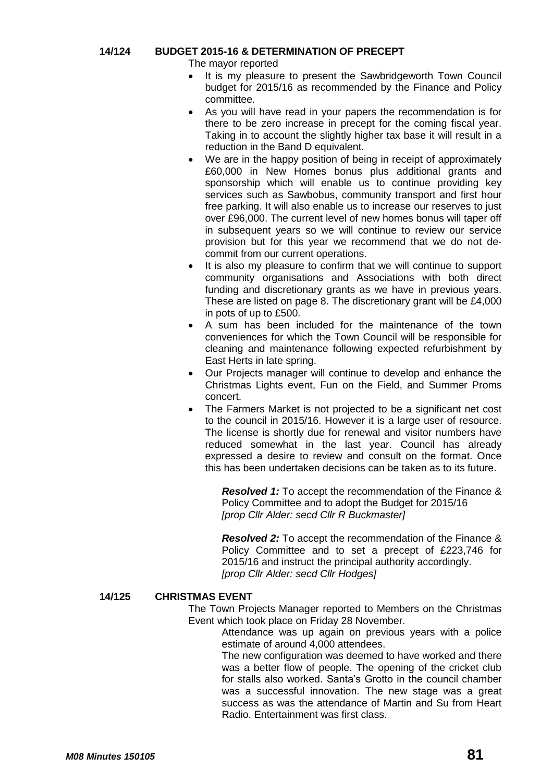# **14/124 BUDGET 2015-16 & DETERMINATION OF PRECEPT**

The mayor reported

- It is my pleasure to present the Sawbridgeworth Town Council budget for 2015/16 as recommended by the Finance and Policy committee.
- As you will have read in your papers the recommendation is for there to be zero increase in precept for the coming fiscal year. Taking in to account the slightly higher tax base it will result in a reduction in the Band D equivalent.
- We are in the happy position of being in receipt of approximately £60,000 in New Homes bonus plus additional grants and sponsorship which will enable us to continue providing key services such as Sawbobus, community transport and first hour free parking. It will also enable us to increase our reserves to just over £96,000. The current level of new homes bonus will taper off in subsequent years so we will continue to review our service provision but for this year we recommend that we do not decommit from our current operations.
- It is also my pleasure to confirm that we will continue to support community organisations and Associations with both direct funding and discretionary grants as we have in previous years. These are listed on page 8. The discretionary grant will be £4,000 in pots of up to £500.
- A sum has been included for the maintenance of the town conveniences for which the Town Council will be responsible for cleaning and maintenance following expected refurbishment by East Herts in late spring.
- Our Projects manager will continue to develop and enhance the Christmas Lights event, Fun on the Field, and Summer Proms concert.
- The Farmers Market is not projected to be a significant net cost to the council in 2015/16. However it is a large user of resource. The license is shortly due for renewal and visitor numbers have reduced somewhat in the last year. Council has already expressed a desire to review and consult on the format. Once this has been undertaken decisions can be taken as to its future.

*Resolved 1:* To accept the recommendation of the Finance & Policy Committee and to adopt the Budget for 2015/16 *[prop Cllr Alder: secd Cllr R Buckmaster]*

*Resolved 2:* To accept the recommendation of the Finance & Policy Committee and to set a precept of £223,746 for 2015/16 and instruct the principal authority accordingly. *[prop Cllr Alder: secd Cllr Hodges]*

# **14/125 CHRISTMAS EVENT**

The Town Projects Manager reported to Members on the Christmas Event which took place on Friday 28 November.

Attendance was up again on previous years with a police estimate of around 4,000 attendees.

The new configuration was deemed to have worked and there was a better flow of people. The opening of the cricket club for stalls also worked. Santa's Grotto in the council chamber was a successful innovation. The new stage was a great success as was the attendance of Martin and Su from Heart Radio. Entertainment was first class.